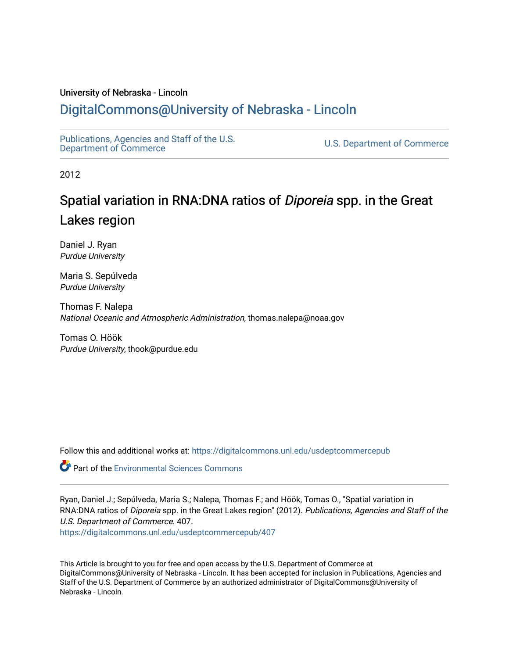### University of Nebraska - Lincoln

## [DigitalCommons@University of Nebraska - Lincoln](https://digitalcommons.unl.edu/)

[Publications, Agencies and Staff of the U.S.](https://digitalcommons.unl.edu/usdeptcommercepub)

U.S. [Department of Commerce](https://digitalcommons.unl.edu/usdeptcommercepub)

2012

# Spatial variation in RNA:DNA ratios of Diporeia spp. in the Great Lakes region

Daniel J. Ryan Purdue University

Maria S. Sepúlveda Purdue University

Thomas F. Nalepa National Oceanic and Atmospheric Administration, thomas.nalepa@noaa.gov

Tomas O. Höök Purdue University, thook@purdue.edu

Follow this and additional works at: [https://digitalcommons.unl.edu/usdeptcommercepub](https://digitalcommons.unl.edu/usdeptcommercepub?utm_source=digitalcommons.unl.edu%2Fusdeptcommercepub%2F407&utm_medium=PDF&utm_campaign=PDFCoverPages)

**C**<sup> $\bullet$ </sup> Part of the [Environmental Sciences Commons](http://network.bepress.com/hgg/discipline/167?utm_source=digitalcommons.unl.edu%2Fusdeptcommercepub%2F407&utm_medium=PDF&utm_campaign=PDFCoverPages)

Ryan, Daniel J.; Sepúlveda, Maria S.; Nalepa, Thomas F.; and Höök, Tomas O., "Spatial variation in RNA:DNA ratios of Diporeia spp. in the Great Lakes region" (2012). Publications, Agencies and Staff of the U.S. Department of Commerce. 407.

[https://digitalcommons.unl.edu/usdeptcommercepub/407](https://digitalcommons.unl.edu/usdeptcommercepub/407?utm_source=digitalcommons.unl.edu%2Fusdeptcommercepub%2F407&utm_medium=PDF&utm_campaign=PDFCoverPages) 

This Article is brought to you for free and open access by the U.S. Department of Commerce at DigitalCommons@University of Nebraska - Lincoln. It has been accepted for inclusion in Publications, Agencies and Staff of the U.S. Department of Commerce by an authorized administrator of DigitalCommons@University of Nebraska - Lincoln.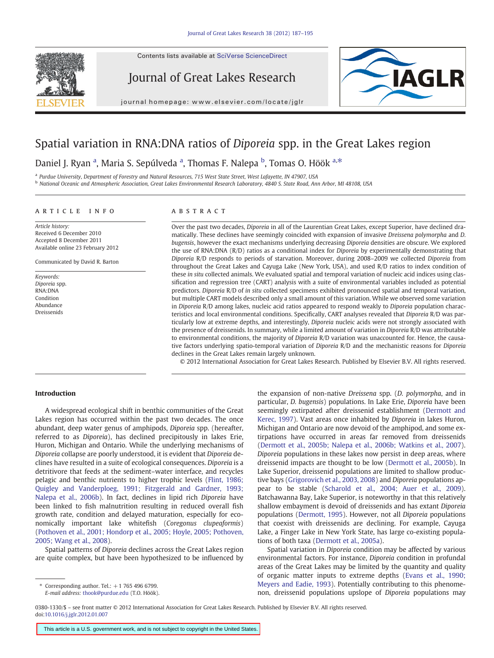Contents lists available at SciVerse ScienceDirect



Journal of Great Lakes Research



journal homepage: www.elsevier.com/locate/jglr

### Spatial variation in RNA:DNA ratios of Diporeia spp. in the Great Lakes region

Daniel J. Ryan <sup>a</sup>, Maria S. Sepúlveda <sup>a</sup>, Thomas F. Nalepa <sup>b</sup>, Tomas O. Höök <sup>a,\*</sup>

a Purdue University, Department of Forestry and Natural Resources, 715 West State Street, West Lafayette, IN 47907, USA <sup>b</sup> National Oceanic and Atmospheric Association, Great Lakes Environmental Research Laboratory, 4840 S. State Road, Ann Arbor, MI 48108, USA

#### article info abstract

Article history: Received 6 December 2010 Accepted 8 December 2011 Available online 23 February 2012

Communicated by David R. Barton

Keywords: Diporeia spp. RNA:DNA Condition Abundance Dreissenids

Over the past two decades, Diporeia in all of the Laurentian Great Lakes, except Superior, have declined dramatically. These declines have seemingly coincided with expansion of invasive Dreissena polymorpha and D. bugensis, however the exact mechanisms underlying decreasing Diporeia densities are obscure. We explored the use of RNA:DNA (R/D) ratios as a conditional index for Diporeia by experimentally demonstrating that Diporeia R/D responds to periods of starvation. Moreover, during 2008–2009 we collected Diporeia from throughout the Great Lakes and Cayuga Lake (New York, USA), and used R/D ratios to index condition of these in situ collected animals. We evaluated spatial and temporal variation of nucleic acid indices using classification and regression tree (CART) analysis with a suite of environmental variables included as potential predictors. Diporeia R/D of in situ collected specimens exhibited pronounced spatial and temporal variation, but multiple CART models described only a small amount of this variation. While we observed some variation in Diporeia R/D among lakes, nucleic acid ratios appeared to respond weakly to Diporeia population characteristics and local environmental conditions. Specifically, CART analyses revealed that Diporeia R/D was particularly low at extreme depths, and interestingly, Diporeia nucleic acids were not strongly associated with the presence of dreissenids. In summary, while a limited amount of variation in Diporeia R/D was attributable to environmental conditions, the majority of Diporeia R/D variation was unaccounted for. Hence, the causative factors underlying spatio-temporal variation of Diporeia R/D and the mechanistic reasons for Diporeia declines in the Great Lakes remain largely unknown.

© 2012 International Association for Great Lakes Research. Published by Elsevier B.V. All rights reserved.

#### Introduction

A widespread ecological shift in benthic communities of the Great Lakes region has occurred within the past two decades. The once abundant, deep water genus of amphipods, Diporeia spp. (hereafter, referred to as Diporeia), has declined precipitously in lakes Erie, Huron, Michigan and Ontario. While the underlying mechanisms of Diporeia collapse are poorly understood, it is evident that Diporeia declines have resulted in a suite of ecological consequences. Diporeia is a detritivore that feeds at the sediment–water interface, and recycles pelagic and benthic nutrients to higher trophic levels [\(Flint, 1986;](#page-9-0) [Quigley and Vanderploeg, 1991; Fitzgerald and Gardner, 1993;](#page-9-0) [Nalepa et al., 2006b\)](#page-9-0). In fact, declines in lipid rich Diporeia have been linked to fish malnutrition resulting in reduced overall fish growth rate, condition and delayed maturation, especially for economically important lake whitefish (Coregonus clupeaformis) [\(Pothoven et al., 2001; Hondorp et al., 2005; Hoyle, 2005; Pothoven,](#page-9-0) [2005; Wang et al., 2008\)](#page-9-0).

Spatial patterns of Diporeia declines across the Great Lakes region are quite complex, but have been hypothesized to be influenced by

the expansion of non-native Dreissena spp. (D. polymorpha, and in particular, D. bugensis) populations. In Lake Erie, Diporeia have been seemingly extirpated after dreissenid establishment ([Dermott and](#page-8-0) [Kerec, 1997\)](#page-8-0). Vast areas once inhabited by Diporeia in lakes Huron, Michigan and Ontario are now devoid of the amphipod, and some extirpations have occurred in areas far removed from dreissenids [\(Dermott et al., 2005b; Nalepa et al., 2006b; Watkins et al., 2007](#page-8-0)). Diporeia populations in these lakes now persist in deep areas, where dreissenid impacts are thought to be low [\(Dermott et al., 2005b](#page-8-0)). In Lake Superior, dreissenid populations are limited to shallow productive bays ([Grigorovich et al., 2003, 2008\)](#page-9-0) and Diporeia populations appear to be stable ([Scharold et al., 2004; Auer et al., 2009](#page-9-0)). Batchawanna Bay, Lake Superior, is noteworthy in that this relatively shallow embayment is devoid of dreissenids and has extant Diporeia populations ([Dermott, 1995](#page-8-0)). However, not all Diporeia populations that coexist with dreissenids are declining. For example, Cayuga Lake, a Finger Lake in New York State, has large co-existing populations of both taxa ([Dermott et al., 2005a\)](#page-8-0).

Spatial variation in Diporeia condition may be affected by various environmental factors. For instance, Diporeia condition in profundal areas of the Great Lakes may be limited by the quantity and quality of organic matter inputs to extreme depths [\(Evans et al., 1990;](#page-9-0) [Meyers and Eadie, 1993](#page-9-0)). Potentially contributing to this phenomenon, dreissenid populations upslope of Diporeia populations may

This article is a U.S. government work, and is not subject to copyright in the United States.

Corresponding author. Tel.:  $+1$  765 496 6799. E-mail address: [thook@purdue.edu](mailto:thook@purdue.edu) (T.O. Höök).

<sup>0380-1330/\$</sup> – see front matter © 2012 International Association for Great Lakes Research. Published by Elsevier B.V. All rights reserved. doi:[10.1016/j.jglr.2012.01.007](http://dx.doi.org/10.1016/j.jglr.2012.01.007)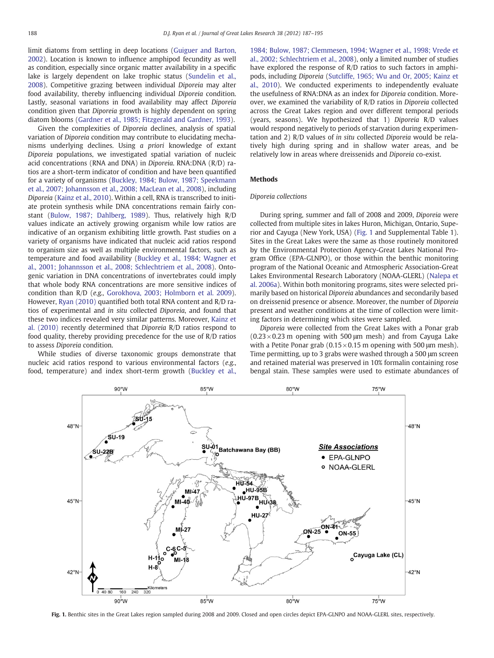<span id="page-2-0"></span>limit diatoms from settling in deep locations [\(Guiguer and Barton,](#page-9-0) [2002\)](#page-9-0). Location is known to influence amphipod fecundity as well as condition, especially since organic matter availability in a specific lake is largely dependent on lake trophic status [\(Sundelin et al.,](#page-9-0) [2008\)](#page-9-0). Competitive grazing between individual Diporeia may alter food availability, thereby influencing individual Diporeia condition. Lastly, seasonal variations in food availability may affect Diporeia condition given that Diporeia growth is highly dependent on spring diatom blooms [\(Gardner et al., 1985; Fitzgerald and Gardner, 1993](#page-9-0)).

Given the complexities of Diporeia declines, analysis of spatial variation of Diporeia condition may contribute to elucidating mechanisms underlying declines. Using a priori knowledge of extant Diporeia populations, we investigated spatial variation of nucleic acid concentrations (RNA and DNA) in Diporeia. RNA:DNA (R/D) ratios are a short-term indicator of condition and have been quantified for a variety of organisms ([Buckley, 1984; Bulow, 1987; Speekmann](#page-8-0) [et al., 2007; Johannsson et al., 2008; MacLean et al., 2008\)](#page-8-0), including Diporeia [\(Kainz et al., 2010\)](#page-9-0). Within a cell, RNA is transcribed to initiate protein synthesis while DNA concentrations remain fairly constant ([Bulow, 1987; Dahlberg, 1989](#page-8-0)). Thus, relatively high R/D values indicate an actively growing organism while low ratios are indicative of an organism exhibiting little growth. Past studies on a variety of organisms have indicated that nucleic acid ratios respond to organism size as well as multiple environmental factors, such as temperature and food availability ([Buckley et al., 1984; Wagner et](#page-8-0) [al., 2001; Johannsson et al., 2008; Schlechtriem et al., 2008](#page-8-0)). Ontogenic variation in DNA concentrations of invertebrates could imply that whole body RNA concentrations are more sensitive indices of condition than R/D (e.g., [Gorokhova, 2003; Holmborn et al. 2009](#page-9-0)). However, [Ryan \(2010\)](#page-9-0) quantified both total RNA content and R/D ratios of experimental and in situ collected Diporeia, and found that these two indices revealed very similar patterns. Moreover, [Kainz et](#page-9-0) [al. \(2010\)](#page-9-0) recently determined that Diporeia R/D ratios respond to food quality, thereby providing precedence for the use of R/D ratios to assess Diporeia condition.

While studies of diverse taxonomic groups demonstrate that nucleic acid ratios respond to various environmental factors (e.g., food, temperature) and index short-term growth ([Buckley et al.,](#page-8-0) [1984; Bulow, 1987; Clemmesen, 1994; Wagner et al., 1998; Vrede et](#page-8-0) [al., 2002; Schlechtriem et al., 2008\)](#page-8-0), only a limited number of studies have explored the response of R/D ratios to such factors in amphipods, including Diporeia [\(Sutcliffe, 1965; Wu and Or, 2005; Kainz et](#page-9-0) [al., 2010](#page-9-0)). We conducted experiments to independently evaluate the usefulness of RNA:DNA as an index for Diporeia condition. Moreover, we examined the variability of R/D ratios in Diporeia collected across the Great Lakes region and over different temporal periods (years, seasons). We hypothesized that 1) Diporeia R/D values would respond negatively to periods of starvation during experimentation and 2) R/D values of in situ collected Diporeia would be relatively high during spring and in shallow water areas, and be relatively low in areas where dreissenids and Diporeia co-exist.

#### Methods

#### Diporeia collections

During spring, summer and fall of 2008 and 2009, Diporeia were collected from multiple sites in lakes Huron, Michigan, Ontario, Superior and Cayuga (New York, USA) (Fig. 1 and Supplemental Table 1). Sites in the Great Lakes were the same as those routinely monitored by the Environmental Protection Agency-Great Lakes National Program Office (EPA-GLNPO), or those within the benthic monitoring program of the National Oceanic and Atmospheric Association-Great Lakes Environmental Research Laboratory (NOAA-GLERL) [\(Nalepa et](#page-9-0) [al. 2006a](#page-9-0)). Within both monitoring programs, sites were selected primarily based on historical Diporeia abundances and secondarily based on dreissenid presence or absence. Moreover, the number of Diporeia present and weather conditions at the time of collection were limiting factors in determining which sites were sampled.

Diporeia were collected from the Great Lakes with a Ponar grab  $(0.23 \times 0.23$  m opening with 500  $\mu$ m mesh) and from Cayuga Lake with a Petite Ponar grab ( $0.15 \times 0.15$  m opening with 500  $\mu$ m mesh). Time permitting, up to 3 grabs were washed through a 500 μm screen and retained material was preserved in 10% formalin containing rose bengal stain. These samples were used to estimate abundances of



Fig. 1. Benthic sites in the Great Lakes region sampled during 2008 and 2009. Closed and open circles depict EPA-GLNPO and NOAA-GLERL sites, respectively.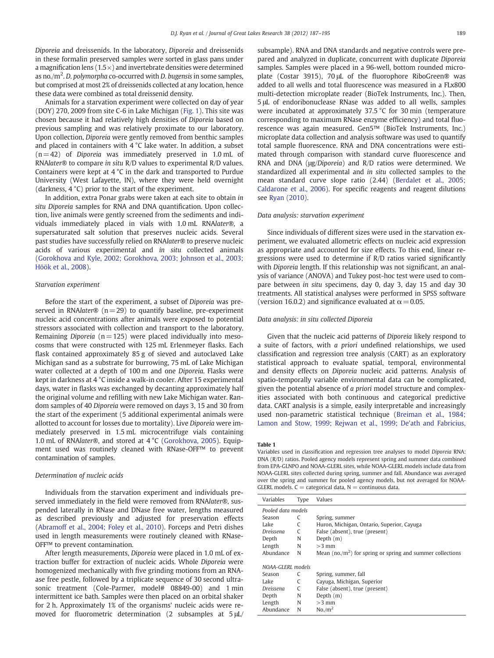<span id="page-3-0"></span>Diporeia and dreissenids. In the laboratory, Diporeia and dreissenids in these formalin preserved samples were sorted in glass pans under a magnification lens ( $1.5\times$ ) and invertebrate densities were determined as no./m<sup>2</sup>. D. polymorpha co-occurred with D. bugensis in some samples, but comprised at most 2% of dreissenids collected at any location, hence these data were combined as total dreissenid density.

Animals for a starvation experiment were collected on day of year (DOY) 270, 2009 from site C-6 in Lake Michigan [\(Fig. 1](#page-2-0)). This site was chosen because it had relatively high densities of Diporeia based on previous sampling and was relatively proximate to our laboratory. Upon collection, Diporeia were gently removed from benthic samples and placed in containers with 4 °C lake water. In addition, a subset  $(n= 42)$  of Diporeia was immediately preserved in 1.0 mL of RNAlater® to compare in situ R/D values to experimental R/D values. Containers were kept at 4 °C in the dark and transported to Purdue University (West Lafayette, IN), where they were held overnight (darkness, 4 °C) prior to the start of the experiment.

In addition, extra Ponar grabs were taken at each site to obtain in situ Diporeia samples for RNA and DNA quantification. Upon collection, live animals were gently screened from the sediments and individuals immediately placed in vials with 1.0 mL RNAlater®, a supersaturated salt solution that preserves nucleic acids. Several past studies have successfully relied on RNAlater® to preserve nucleic acids of various experimental and in situ collected animals [\(Gorokhova and Kyle, 2002; Gorokhova, 2003; Johnson et al., 2003;](#page-9-0) [Höök et al., 2008](#page-9-0)).

#### Starvation experiment

Before the start of the experiment, a subset of Diporeia was preserved in RNAlater® ( $n = 29$ ) to quantify baseline, pre-experiment nucleic acid concentrations after animals were exposed to potential stressors associated with collection and transport to the laboratory. Remaining *Diporeia* ( $n = 125$ ) were placed individually into mesocosms that were constructed with 125 mL Erlenmeyer flasks. Each flask contained approximately 85 g of sieved and autoclaved Lake Michigan sand as a substrate for burrowing, 75 mL of Lake Michigan water collected at a depth of 100 m and one Diporeia. Flasks were kept in darkness at 4 °C inside a walk-in cooler. After 15 experimental days, water in flasks was exchanged by decanting approximately half the original volume and refilling with new Lake Michigan water. Random samples of 40 Diporeia were removed on days 3, 15 and 30 from the start of the experiment (5 additional experimental animals were allotted to account for losses due to mortality). Live Diporeia were immediately preserved in 1.5 mL microcentrifuge vials containing 1.0 mL of RNAlater®, and stored at 4 °C ([Gorokhova, 2005\)](#page-9-0). Equipment used was routinely cleaned with RNase-OFF™ to prevent contamination of samples.

#### Determination of nucleic acids

Individuals from the starvation experiment and individuals preserved immediately in the field were removed from RNAlater®, suspended laterally in RNase and DNase free water, lengths measured as described previously and adjusted for preservation effects [\(Abramoff et al., 2004; Foley et al., 2010](#page-8-0)). Forceps and Petri dishes used in length measurements were routinely cleaned with RNase-OFF™ to prevent contamination.

After length measurements, Diporeia were placed in 1.0 mL of extraction buffer for extraction of nucleic acids. Whole Diporeia were homogenized mechanically with five grinding motions from an RNAase free pestle, followed by a triplicate sequence of 30 second ultrasonic treatment (Cole-Parmer, model# 08849-00) and 1 min intermittent ice bath. Samples were then placed on an orbital shaker for 2 h. Approximately 1% of the organisms' nucleic acids were removed for fluorometric determination (2 subsamples at 5  $\mu$ L/ subsample). RNA and DNA standards and negative controls were prepared and analyzed in duplicate, concurrent with duplicate Diporeia samples. Samples were placed in a 96-well, bottom rounded microplate (Costar 3915), 70 μL of the fluorophore RiboGreen® was added to all wells and total fluorescence was measured in a FLx800 multi-detection microplate reader (BioTek Instruments, Inc.). Then, 5 μL of endoribonuclease RNase was added to all wells, samples were incubated at approximately 37.5 °C for 30 min (temperature corresponding to maximum RNase enzyme efficiency) and total fluorescence was again measured. Gen5™ (BioTek Instruments, Inc.) microplate data collection and analysis software was used to quantify total sample fluorescence. RNA and DNA concentrations were estimated through comparison with standard curve fluorescence and RNA and DNA (μg/Diporeia) and R/D ratios were determined. We standardized all experimental and in situ collected samples to the mean standard curve slope ratio (2.44) [\(Berdalet et al., 2005;](#page-8-0) [Caldarone et al., 2006\)](#page-8-0). For specific reagents and reagent dilutions see [Ryan \(2010\)](#page-9-0).

#### Data analysis: starvation experiment

Since individuals of different sizes were used in the starvation experiment, we evaluated allometric effects on nucleic acid expression as appropriate and accounted for size effects. To this end, linear regressions were used to determine if R/D ratios varied significantly with Diporeia length. If this relationship was not significant, an analysis of variance (ANOVA) and Tukey post-hoc test were used to compare between in situ specimens, day 0, day 3, day 15 and day 30 treatments. All statistical analyses were performed in SPSS software (version 16.0.2) and significance evaluated at  $\alpha$  = 0.05.

#### Data analysis: in situ collected Diporeia

Given that the nucleic acid patterns of Diporeia likely respond to a suite of factors, with a priori undefined relationships, we used classification and regression tree analysis (CART) as an exploratory statistical approach to evaluate spatial, temporal, environmental and density effects on Diporeia nucleic acid patterns. Analysis of spatio-temporally variable environmental data can be complicated, given the potential absence of a priori model structure and complexities associated with both continuous and categorical predictive data. CART analysis is a simple, easily interpretable and increasingly used non-parametric statistical technique [\(Breiman et al., 1984;](#page-8-0) [Lamon and Stow, 1999; Rejwan et al., 1999; De'ath and Fabricius,](#page-8-0)

#### Table 1

Variables used in classification and regression tree analyses to model Diporeia RNA: DNA (R/D) ratios. Pooled agency models represent spring and summer data combined from EPA-GLNPO and NOAA-GLERL sites, while NOAA-GLERL models include data from NOAA-GLERL sites collected during spring, summer and fall. Abundance was averaged over the spring and summer for pooled agency models, but not averaged for NOAA-GLERL models.  $C =$  categorical data,  $N =$  continuous data.

|                   | Variables          | Type | Values                                                        |  |  |  |  |
|-------------------|--------------------|------|---------------------------------------------------------------|--|--|--|--|
|                   | Pooled data models |      |                                                               |  |  |  |  |
|                   | Season             | C    | Spring, summer                                                |  |  |  |  |
|                   | Lake               | C    | Huron, Michigan, Ontario, Superior, Cayuga                    |  |  |  |  |
|                   | Dreissena          | C    | False (absent), true (present)                                |  |  |  |  |
|                   | Depth              | N    | Depth $(m)$                                                   |  |  |  |  |
|                   | Length             | N    | $>3$ mm                                                       |  |  |  |  |
|                   | Abundance          | N    | Mean (no./ $m2$ ) for spring or spring and summer collections |  |  |  |  |
|                   |                    |      |                                                               |  |  |  |  |
| NOAA-GLERL models |                    |      |                                                               |  |  |  |  |
|                   | Season             | C    | Spring, summer, fall                                          |  |  |  |  |
|                   | Lake               | C    | Cayuga, Michigan, Superior                                    |  |  |  |  |
|                   | Dreissena          | C    | False (absent), true (present)                                |  |  |  |  |
|                   | Depth              | N    | Depth $(m)$                                                   |  |  |  |  |
|                   | Length             | N    | $>3$ mm                                                       |  |  |  |  |
|                   | Abundance          | N    | $No./m^2$                                                     |  |  |  |  |
|                   |                    |      |                                                               |  |  |  |  |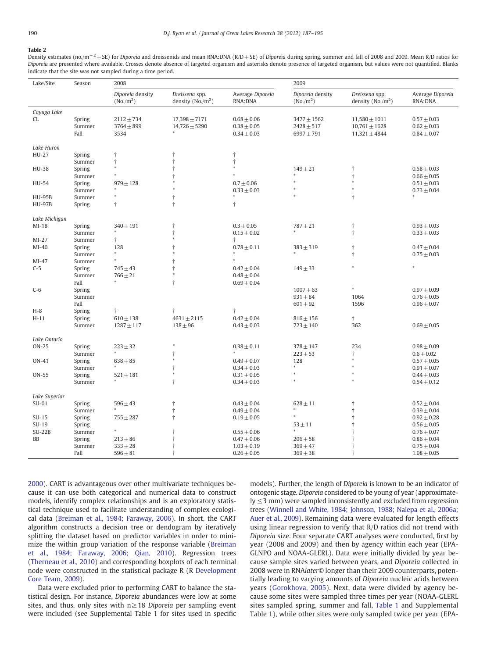#### <span id="page-4-0"></span>Table 2

Density estimates (no./m<sup>-2</sup> ± SE) for Diporeia and dreissenids and mean RNA:DNA (R/D ± SE) of Diporeia during spring, summer and fall of 2008 and 2009. Mean R/D ratios for Diporeia are presented where available. Crosses denote absence of targeted organism and asterisks denote presence of targeted organism, but values were not quantified. Blanks indicate that the site was not sampled during a time period.

| Lake/Site     | Season | 2008                            |                                       |                              | 2009                            |                                      |                              |
|---------------|--------|---------------------------------|---------------------------------------|------------------------------|---------------------------------|--------------------------------------|------------------------------|
|               |        | Diporeia density<br>$(No./m^2)$ | Dreissena spp.<br>density $(No./m^2)$ | Average Diporeia<br>RNA: DNA | Diporeia density<br>$(No./m^2)$ | Dreissena spp.<br>density $(No/m^2)$ | Average Diporeia<br>RNA: DNA |
| Cayuga Lake   |        |                                 |                                       |                              |                                 |                                      |                              |
| CL.           | Spring | $2112 \pm 734$                  | $17,398 \pm 7171$                     | $0.68 \pm 0.06$              | $3477 \pm 1562$                 | $11,580 \pm 1011$                    | $0.57 \pm 0.03$              |
|               | Summer | $3764 \pm 899$                  | $14,726 \pm 5290$                     | $0.38 \pm 0.05$              | $2428 \pm 517$                  | $10,761 \pm 1628$                    | $0.62 \pm 0.03$              |
|               | Fall   | 3534                            |                                       | $0.34 \pm 0.03$              | $6997 + 791$                    | $11,321 \pm 4844$                    | $0.84 \pm 0.07$              |
| Lake Huron    |        |                                 |                                       |                              |                                 |                                      |                              |
| <b>HU-27</b>  | Spring | Ť                               | t                                     | $\dagger$                    |                                 |                                      |                              |
|               | Summer | Ť                               | t                                     | $\dagger$                    |                                 |                                      |                              |
| <b>HU-38</b>  | Spring |                                 | $\ddagger$                            |                              | $149 \pm 21$                    | Ť                                    | $0.58 \pm 0.03$              |
|               | Summer | *                               |                                       |                              |                                 | $\dagger$                            | $0.66 \pm 0.05$              |
| HU-54         | Spring | $979 \pm 128$                   |                                       | $0.7 \pm 0.06$               |                                 |                                      | $0.51 \pm 0.03$              |
|               | Summer |                                 |                                       | $0.33 \pm 0.03$              |                                 |                                      | $0.73 \pm 0.04$              |
| <b>HU-95B</b> | Summer | $\ast$                          | $\dagger$                             |                              |                                 | $\dagger$                            |                              |
| <b>HU-97B</b> | Spring | Ť                               | $\dagger$                             | $\dagger$                    |                                 |                                      |                              |
| Lake Michigan |        |                                 |                                       |                              |                                 |                                      |                              |
| $MI-18$       | Spring | $340 \pm 191$                   | $\dagger$                             | $0.3 \pm 0.05$               | $787 + 21$                      | $\dagger$                            | $0.93 \pm 0.03$              |
|               | Summer | $\ast$                          | t                                     | $0.15 \pm 0.02$              |                                 | $\dagger$                            | $0.33 \pm 0.03$              |
| $MI-27$       | Summer | $\dagger$                       |                                       | Ť.                           |                                 |                                      |                              |
| $MI-40$       | Spring | 128                             |                                       | $0.78 \pm 0.11$              | $383 \pm 319$                   | $\dagger$                            | $0.47 \pm 0.04$              |
|               | Summer | $\ast$                          |                                       |                              |                                 | $\dagger$                            | $0.75 \pm 0.03$              |
| $MI-47$       | Summer | *.                              |                                       |                              |                                 |                                      |                              |
| $C-5$         | Spring | $745 \pm 43$                    |                                       | $0.42 \pm 0.04$              | $149 \pm 33$                    | $\ast$                               | $\ast$                       |
|               | Summer | $766 \pm 21$                    |                                       | $0.48 \pm 0.04$              |                                 |                                      |                              |
|               | Fall   |                                 | $\dagger$                             | $0.69 \pm 0.04$              |                                 |                                      |                              |
| $C-6$         | Spring |                                 |                                       |                              | $1007 \pm 63$                   |                                      | $0.97 \pm 0.09$              |
|               | Summer |                                 |                                       |                              | $931 \pm 84$                    | 1064                                 | $0.76 \pm 0.05$              |
|               | Fall   |                                 |                                       |                              | $601 \pm 92$                    | 1596                                 | $0.96 \pm 0.07$              |
| $H-8$         | Spring | Ť.                              | Ť                                     | Ť                            |                                 |                                      |                              |
| $H-11$        | Spring | $610 \pm 138$                   | $4631 \pm 2115$                       | $0.42 \pm 0.04$              | $816 \pm 156$                   | $\dagger$                            |                              |
|               | Summer | $1287 + 117$                    | $138 + 96$                            | $0.43 \pm 0.03$              | $723 \pm 140$                   | 362                                  | $0.69 \pm 0.05$              |
| Lake Ontario  |        |                                 |                                       |                              |                                 |                                      |                              |
| $ON-25$       | Spring | $223 \pm 32$                    |                                       | $0.38 \pm 0.11$              | $378 \pm 147$                   | 234                                  | $0.98 \pm 0.09$              |
|               | Summer |                                 |                                       |                              | $223 \pm 53$                    | $\dagger$                            | $0.6 \pm 0.02$               |
| ON-41         | Spring | $638 \pm 85$                    |                                       | $0.49 \pm 0.07$              | 128                             |                                      | $0.57 \pm 0.05$              |
|               | Summer |                                 |                                       | $0.34 \pm 0.03$              | $\ast$                          |                                      | $0.91 \pm 0.07$              |
| ON-55         | Spring | $521 \pm 181$                   |                                       | $0.31 \pm 0.05$              |                                 |                                      | $0.44 \pm 0.03$              |
|               | Summer |                                 | $\dagger$                             | $0.34 \pm 0.03$              |                                 |                                      | $0.54 \pm 0.12$              |
| Lake Superior |        |                                 |                                       |                              |                                 |                                      |                              |
| $SU-01$       | Spring | $596 \pm 43$                    | Ť                                     | $0.43 \pm 0.04$              | $628 \pm 11$                    | Ť                                    | $0.52 \pm 0.04$              |
|               | Summer |                                 | $\dagger$                             | $0.49 \pm 0.04$              |                                 | $\dagger$                            | $0.39 \pm 0.04$              |
| $SU-15$       | Spring | $755 \pm 287$                   | $\dagger$                             | $0.19 \pm 0.05$              |                                 | $\dagger$                            | $0.92 \pm 0.28$              |
| SU-19         | Spring |                                 |                                       |                              | $53 \pm 11$                     | $\dagger$                            | $0.56 \pm 0.05$              |
| $SU-22B$      | Summer | $^{\ast}$                       | t                                     | $0.55 \pm 0.06$              |                                 | $\dagger$                            | $0.76 \pm 0.07$              |
| BB            | Spring | $213 \pm 86$                    | t                                     | $0.47 \pm 0.06$              | $206 + 58$                      | $\dagger$                            | $0.86 \pm 0.04$              |
|               | Summer | $333 \pm 28$                    | t                                     | $1.03 \pm 0.19$              | $369 \pm 47$                    | $\dagger$                            | $0.75 \pm 0.04$              |
|               | Fall   | $596 \pm 81$                    | t                                     | $0.26 \pm 0.05$              | $369 \pm 38$                    | $\dagger$                            | $1.08 \pm 0.05$              |

[2000\)](#page-8-0). CART is advantageous over other multivariate techniques because it can use both categorical and numerical data to construct models, identify complex relationships and is an exploratory statistical technique used to facilitate understanding of complex ecological data [\(Breiman et al., 1984; Faraway, 2006\)](#page-8-0). In short, the CART algorithm constructs a decision tree or dendogram by iteratively splitting the dataset based on predictor variables in order to minimize the within group variation of the response variable [\(Breiman](#page-8-0) [et al., 1984; Faraway, 2006; Qian, 2010](#page-8-0)). Regression trees [\(Therneau et al., 2010](#page-9-0)) and corresponding boxplots of each terminal node were constructed in the statistical package R (R [Development](#page-9-0) [Core Team, 2009](#page-9-0)).

Data were excluded prior to performing CART to balance the statistical design. For instance, Diporeia abundances were low at some sites, and thus, only sites with n≥18 Diporeia per sampling event were included (see Supplemental Table 1 for sites used in specific models). Further, the length of Diporeia is known to be an indicator of ontogenic stage. Diporeia considered to be young of year (approximately ≤3 mm) were sampled inconsistently and excluded from regression trees [\(Winnell and White, 1984; Johnson, 1988; Nalepa et al., 2006a;](#page-9-0) [Auer et al., 2009](#page-9-0)). Remaining data were evaluated for length effects using linear regression to verify that R/D ratios did not trend with Diporeia size. Four separate CART analyses were conducted, first by year (2008 and 2009) and then by agency within each year (EPA-GLNPO and NOAA-GLERL). Data were initially divided by year because sample sites varied between years, and Diporeia collected in 2008 were in RNAlater© longer than their 2009 counterparts, potentially leading to varying amounts of Diporeia nucleic acids between years ([Gorokhova, 2005](#page-9-0)). Next, data were divided by agency because some sites were sampled three times per year (NOAA-GLERL sites sampled spring, summer and fall, [Table 1](#page-3-0) and Supplemental Table 1), while other sites were only sampled twice per year (EPA-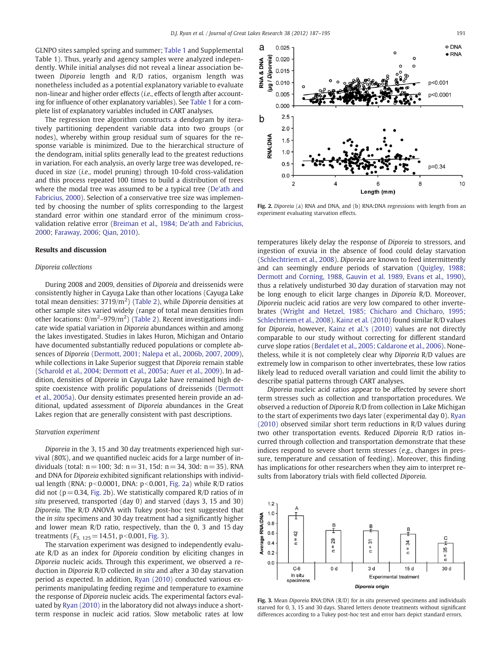GLNPO sites sampled spring and summer; [Table 1](#page-3-0) and Supplemental Table 1). Thus, yearly and agency samples were analyzed independently. While initial analyses did not reveal a linear association between Diporeia length and R/D ratios, organism length was nonetheless included as a potential explanatory variable to evaluate non-linear and higher order effects (i.e., effects of length after accounting for influence of other explanatory variables). See [Table 1](#page-3-0) for a complete list of explanatory variables included in CART analyses.

The regression tree algorithm constructs a dendogram by iteratively partitioning dependent variable data into two groups (or nodes), whereby within group residual sum of squares for the response variable is minimized. Due to the hierarchical structure of the dendogram, initial splits generally lead to the greatest reductions in variation. For each analysis, an overly large tree was developed, reduced in size (i.e., model pruning) through 10-fold cross-validation and this process repeated 100 times to build a distribution of trees where the modal tree was assumed to be a typical tree ([De'ath and](#page-8-0) [Fabricius, 2000](#page-8-0)). Selection of a conservative tree size was implemented by choosing the number of splits corresponding to the largest standard error within one standard error of the minimum crossvalidation relative error ([Breiman et al., 1984; De'ath and Fabricius,](#page-8-0) [2000; Faraway, 2006; Qian, 2010](#page-8-0)).

#### Results and discussion

#### Diporeia collections

During 2008 and 2009, densities of Diporeia and dreissenids were consistently higher in Cayuga Lake than other locations (Cayuga Lake total mean densities:  $3719/m<sup>2</sup>$ ) [\(Table 2](#page-4-0)), while Diporeia densities at other sample sites varied widely (range of total mean densities from other locations:  $0/m^2 - 979/m^2$ ) [\(Table 2\)](#page-4-0). Recent investigations indicate wide spatial variation in Diporeia abundances within and among the lakes investigated. Studies in lakes Huron, Michigan and Ontario have documented substantially reduced populations or complete absences of Diporeia ([Dermott, 2001; Nalepa et al., 2006b, 2007, 2009](#page-8-0)), while collections in Lake Superior suggest that Diporeia remain stable [\(Scharold et al., 2004; Dermott et al., 2005a; Auer et al., 2009\)](#page-9-0). In addition, densities of Diporeia in Cayuga Lake have remained high despite coexistence with prolific populations of dreissenids [\(Dermott](#page-8-0) [et al., 2005a](#page-8-0)). Our density estimates presented herein provide an additional, updated assessment of Diporeia abundances in the Great Lakes region that are generally consistent with past descriptions.

#### Starvation experiment

Diporeia in the 3, 15 and 30 day treatments experienced high survival (80%), and we quantified nucleic acids for a large number of individuals (total:  $n = 100$ ; 3d:  $n = 31$ , 15d:  $n = 34$ , 30d:  $n = 35$ ). RNA and DNA for Diporeia exhibited significant relationships with individual length (RNA:  $p<0.0001$ , DNA:  $p<0.001$ , Fig. 2a) while R/D ratios did not ( $p = 0.34$ , Fig. 2b). We statistically compared R/D ratios of in situ preserved, transported (day 0) and starved (days 3, 15 and 30) Diporeia. The R/D ANOVA with Tukey post-hoc test suggested that the in situ specimens and 30 day treatment had a significantly higher and lower mean R/D ratio, respectively, than the 0, 3 and 15 day treatments  $(F_{3, 125} = 14.51, p<0.001,$  Fig. 3).

The starvation experiment was designed to independently evaluate R/D as an index for Diporeia condition by eliciting changes in Diporeia nucleic acids. Through this experiment, we observed a reduction in Diporeia R/D collected in situ and after a 30 day starvation period as expected. In addition, [Ryan \(2010\)](#page-9-0) conducted various experiments manipulating feeding regime and temperature to examine the response of Diporeia nucleic acids. The experimental factors evaluated by [Ryan \(2010\)](#page-9-0) in the laboratory did not always induce a shortterm response in nucleic acid ratios. Slow metabolic rates at low



Fig. 2. Diporeia (a) RNA and DNA, and (b) RNA:DNA regressions with length from an experiment evaluating starvation effects.

temperatures likely delay the response of Diporeia to stressors, and ingestion of exuvia in the absence of food could delay starvation [\(Schlechtriem et al., 2008](#page-9-0)). Diporeia are known to feed intermittently and can seemingly endure periods of starvation [\(Quigley, 1988;](#page-9-0) [Dermott and Corning, 1988, Gauvin et al. 1989, Evans et al., 1990](#page-9-0)), thus a relatively undisturbed 30 day duration of starvation may not be long enough to elicit large changes in Diporeia R/D. Moreover, Diporeia nucleic acid ratios are very low compared to other invertebrates [\(Wright and Hetzel, 1985; Chicharo and Chicharo, 1995;](#page-9-0) [Schlechtriem et al., 2008\)](#page-9-0). [Kainz et al. \(2010\)](#page-9-0) found similar R/D values for Diporeia, however, [Kainz et al.'s \(2010\)](#page-9-0) values are not directly comparable to our study without correcting for different standard curve slope ratios [\(Berdalet et al., 2005; Caldarone et al., 2006](#page-8-0)). Nonetheless, while it is not completely clear why Diporeia R/D values are extremely low in comparison to other invertebrates, these low ratios likely lead to reduced overall variation and could limit the ability to describe spatial patterns through CART analyses.

Diporeia nucleic acid ratios appear to be affected by severe short term stresses such as collection and transportation procedures. We observed a reduction of Diporeia R/D from collection in Lake Michigan to the start of experiments two days later (experimental day 0). [Ryan](#page-9-0) [\(2010\)](#page-9-0) observed similar short term reductions in R/D values during two other transportation events. Reduced Diporeia R/D ratios incurred through collection and transportation demonstrate that these indices respond to severe short term stresses (e.g., changes in pressure, temperature and cessation of feeding). Moreover, this finding has implications for other researchers when they aim to interpret results from laboratory trials with field collected Diporeia.



Fig. 3. Mean Diporeia RNA:DNA (R/D) for in situ preserved specimens and individuals starved for 0, 3, 15 and 30 days. Shared letters denote treatments without significant differences according to a Tukey post-hoc test and error bars depict standard errors.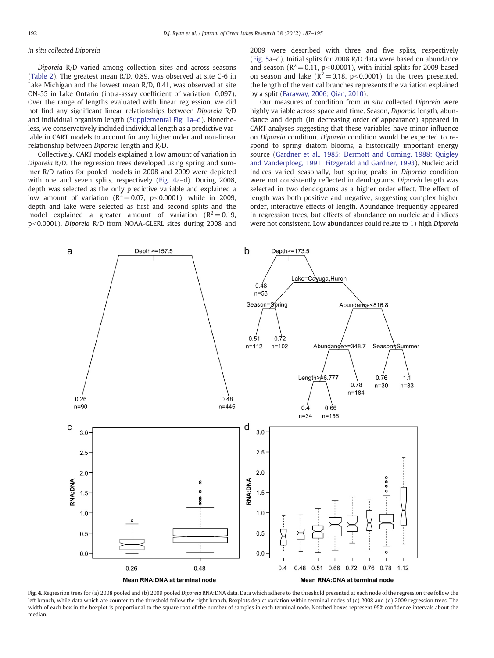### In situ collected Diporeia

Diporeia R/D varied among collection sites and across seasons [\(Table 2](#page-4-0)). The greatest mean R/D, 0.89, was observed at site C-6 in Lake Michigan and the lowest mean R/D, 0.41, was observed at site ON-55 in Lake Ontario (intra-assay coefficient of variation: 0.097). Over the range of lengths evaluated with linear regression, we did not find any significant linear relationships between Diporeia R/D and individual organism length [\(Supplemental Fig. 1a](#page-7-0)–d). Nonetheless, we conservatively included individual length as a predictive variable in CART models to account for any higher order and non-linear relationship between Diporeia length and R/D.

Collectively, CART models explained a low amount of variation in Diporeia R/D. The regression trees developed using spring and summer R/D ratios for pooled models in 2008 and 2009 were depicted with one and seven splits, respectively (Fig. 4a–d). During 2008, depth was selected as the only predictive variable and explained a low amount of variation ( $R^2$  = 0.07, p < 0.0001), while in 2009, depth and lake were selected as first and second splits and the model explained a greater amount of variation  $(R^2 = 0.19,$ p<0.0001). Diporeia R/D from NOAA-GLERL sites during 2008 and 2009 were described with three and five splits, respectively [\(Fig. 5a](#page-7-0)–d). Initial splits for 2008 R/D data were based on abundance and season ( $R^2$  = 0.11, p<0.0001), with initial splits for 2009 based on season and lake ( $R^2$  = 0.18, p<0.0001). In the trees presented, the length of the vertical branches represents the variation explained by a split [\(Faraway, 2006; Qian, 2010](#page-9-0)).

Our measures of condition from in situ collected Diporeia were highly variable across space and time. Season, Diporeia length, abundance and depth (in decreasing order of appearance) appeared in CART analyses suggesting that these variables have minor influence on Diporeia condition. Diporeia condition would be expected to respond to spring diatom blooms, a historically important energy source ([Gardner et al., 1985; Dermott and Corning, 1988; Quigley](#page-9-0) [and Vanderploeg, 1991; Fitzgerald and Gardner, 1993](#page-9-0)). Nucleic acid indices varied seasonally, but spring peaks in Diporeia condition were not consistently reflected in dendograms. Diporeia length was selected in two dendograms as a higher order effect. The effect of length was both positive and negative, suggesting complex higher order, interactive effects of length. Abundance frequently appeared in regression trees, but effects of abundance on nucleic acid indices were not consistent. Low abundances could relate to 1) high Diporeia



Fig. 4. Regression trees for (a) 2008 pooled and (b) 2009 pooled Diporeia RNA:DNA data. Data which adhere to the threshold presented at each node of the regression tree follow the left branch, while data which are counter to the threshold follow the right branch. Boxplots depict variation within terminal nodes of (c) 2008 and (d) 2009 regression trees. The width of each box in the boxplot is proportional to the square root of the number of samples in each terminal node. Notched boxes represent 95% confidence intervals about the median.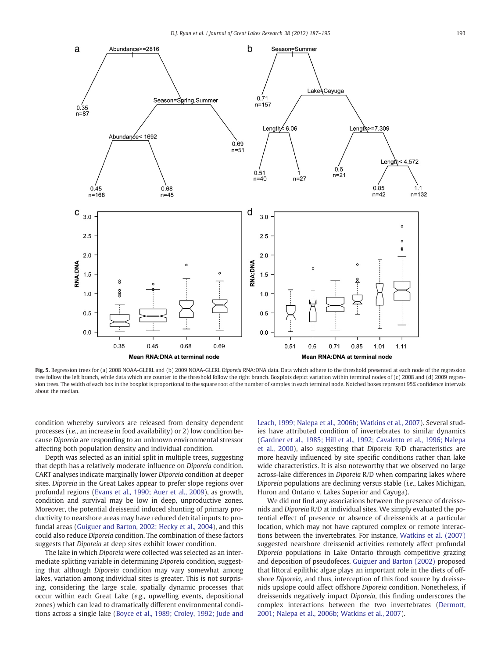<span id="page-7-0"></span>

Fig. 5. Regression trees for (a) 2008 NOAA-GLERL and (b) 2009 NOAA-GLERL Diporeia RNA:DNA data. Data which adhere to the threshold presented at each node of the regression tree follow the left branch, while data which are counter to the threshold follow the right branch. Boxplots depict variation within terminal nodes of (c) 2008 and (d) 2009 regression trees. The width of each box in the boxplot is proportional to the square root of the number of samples in each terminal node. Notched boxes represent 95% confidence intervals about the median.

condition whereby survivors are released from density dependent processes (i.e., an increase in food availability) or 2) low condition because Diporeia are responding to an unknown environmental stressor affecting both population density and individual condition.

Depth was selected as an initial split in multiple trees, suggesting that depth has a relatively moderate influence on Diporeia condition. CART analyses indicate marginally lower Diporeia condition at deeper sites. Diporeia in the Great Lakes appear to prefer slope regions over profundal regions [\(Evans et al., 1990; Auer et al., 2009\)](#page-9-0), as growth, condition and survival may be low in deep, unproductive zones. Moreover, the potential dreissenid induced shunting of primary productivity to nearshore areas may have reduced detrital inputs to profundal areas ([Guiguer and Barton, 2002; Hecky et al., 2004](#page-9-0)), and this could also reduce Diporeia condition. The combination of these factors suggests that Diporeia at deep sites exhibit lower condition.

The lake in which Diporeia were collected was selected as an intermediate splitting variable in determining Diporeia condition, suggesting that although Diporeia condition may vary somewhat among lakes, variation among individual sites is greater. This is not surprising, considering the large scale, spatially dynamic processes that occur within each Great Lake (e.g., upwelling events, depositional zones) which can lead to dramatically different environmental conditions across a single lake [\(Boyce et al., 1989; Croley, 1992; Jude and](#page-8-0) [Leach, 1999; Nalepa et al., 2006b; Watkins et al., 2007\)](#page-8-0). Several studies have attributed condition of invertebrates to similar dynamics [\(Gardner et al., 1985; Hill et al., 1992; Cavaletto et al., 1996; Nalepa](#page-9-0) [et al., 2000\)](#page-9-0), also suggesting that Diporeia R/D characteristics are more heavily influenced by site specific conditions rather than lake wide characteristics. It is also noteworthy that we observed no large across-lake differences in Diporeia R/D when comparing lakes where Diporeia populations are declining versus stable (i.e., Lakes Michigan, Huron and Ontario v. Lakes Superior and Cayuga).

We did not find any associations between the presence of dreissenids and Diporeia R/D at individual sites. We simply evaluated the potential effect of presence or absence of dreissenids at a particular location, which may not have captured complex or remote interactions between the invertebrates. For instance, [Watkins et al. \(2007\)](#page-9-0) suggested nearshore dreissenid activities remotely affect profundal Diporeia populations in Lake Ontario through competitive grazing and deposition of pseudofeces. [Guiguer and Barton \(2002\)](#page-9-0) proposed that littoral epilithic algae plays an important role in the diets of offshore Diporeia, and thus, interception of this food source by dreissenids upslope could affect offshore Diporeia condition. Nonetheless, if dreissenids negatively impact Diporeia, this finding underscores the complex interactions between the two invertebrates [\(Dermott,](#page-8-0) [2001; Nalepa et al., 2006b; Watkins et al., 2007\)](#page-8-0).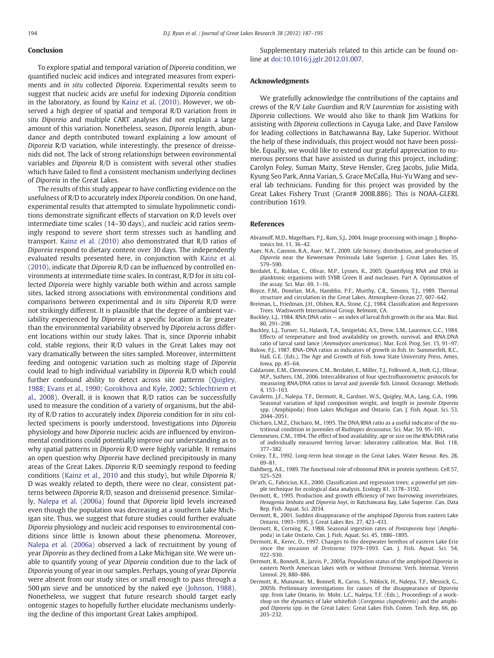#### <span id="page-8-0"></span>Conclusion

To explore spatial and temporal variation of Diporeia condition, we quantified nucleic acid indices and integrated measures from experiments and in situ collected Diporeia. Experimental results seem to suggest that nucleic acids are useful for indexing Diporeia condition in the laboratory, as found by [Kainz et al. \(2010\)](#page-9-0). However, we observed a high degree of spatial and temporal R/D variation from in situ Diporeia and multiple CART analyses did not explain a large amount of this variation. Nonetheless, season, Diporeia length, abundance and depth contributed toward explaining a low amount of Diporeia R/D variation, while interestingly, the presence of dreissenids did not. The lack of strong relationships between environmental variables and Diporeia R/D is consistent with several other studies which have failed to find a consistent mechanism underlying declines of Diporeia in the Great Lakes.

The results of this study appear to have conflicting evidence on the usefulness of R/D to accurately index Diporeia condition. On one hand, experimental results that attempted to simulate hypolimnetic conditions demonstrate significant effects of starvation on R/D levels over intermediate time scales (14–30 days), and nucleic acid ratios seemingly respond to severe short term stresses such as handling and transport. [Kainz et al. \(2010\)](#page-9-0) also demonstrated that R/D ratios of Diporeia respond to dietary content over 30 days. The independently evaluated results presented here, in conjunction with [Kainz et al.](#page-9-0) [\(2010\),](#page-9-0) indicate that Diporeia R/D can be influenced by controlled environments at intermediate time scales. In contrast, R/D for in situ collected Diporeia were highly variable both within and across sample sites, lacked strong associations with environmental conditions and comparisons between experimental and in situ Diporeia R/D were not strikingly different. It is plausible that the degree of ambient variability experienced by Diporeia at a specific location is far greater than the environmental variability observed by Diporeia across different locations within our study lakes. That is, since Diporeia inhabit cold, stable regions, their R/D values in the Great Lakes may not vary dramatically between the sites sampled. Moreover, intermittent feeding and ontogenic variation such as molting stage of Diporeia could lead to high individual variability in Diporeia R/D which could further confound ability to detect across site patterns [\(Quigley,](#page-9-0) [1988; Evans et al., 1990; Gorokhova and Kyle, 2002; Schlechtriem et](#page-9-0) [al., 2008\)](#page-9-0). Overall, it is known that R/D ratios can be successfully used to measure the condition of a variety of organisms, but the ability of R/D ratios to accurately index Diporeia condition for in situ collected specimens is poorly understood. Investigations into Diporeia physiology and how Diporeia nucleic acids are influenced by environmental conditions could potentially improve our understanding as to why spatial patterns in Diporeia R/D were highly variable. It remains an open question why Diporeia have declined precipitously in many areas of the Great Lakes. Diporeia R/D seemingly respond to feeding conditions [\(Kainz et al., 2010](#page-9-0) and this study), but while Diporeia R/ D was weakly related to depth, there were no clear, consistent patterns between Diporeia R/D, season and dreissenid presence. Similarly, [Nalepa et al. \(2006a\)](#page-9-0) found that Diporeia lipid levels increased even though the population was decreasing at a southern Lake Michigan site. Thus, we suggest that future studies could further evaluate Diporeia physiology and nucleic acid responses to environmental conditions since little is known about these phenomena. Moreover, [Nalepa et al. \(2006a\)](#page-9-0) observed a lack of recruitment by young of year Diporeia as they declined from a Lake Michigan site. We were unable to quantify young of year Diporeia condition due to the lack of Diporeia young of year in our samples. Perhaps, young of year Diporeia were absent from our study sites or small enough to pass through a 500 μm sieve and be unnoticed by the naked eye ([Johnson, 1988](#page-9-0)). Nonetheless, we suggest that future research should target early ontogenic stages to hopefully further elucidate mechanisms underlying the decline of this important Great Lakes amphipod.

Supplementary materials related to this article can be found online at doi:10.1016/j.jglr.2012.01.007.

#### Acknowledgments

We gratefully acknowledge the contributions of the captains and crews of the R/V Lake Guardian and R/V Laurentian for assisting with Diporeia collections. We would also like to thank Jim Watkins for assisting with Diporeia collections in Cayuga Lake, and Dave Fanslow for leading collections in Batchawanna Bay, Lake Superior. Without the help of these individuals, this project would not have been possible. Equally, we would like to extend our grateful appreciation to numerous persons that have assisted us during this project, including: Carolyn Foley, Suman Maity, Steve Hensler, Greg Jacobs, Julie Mida, Kyung Seo Park, Anna Varian, S. Grace McCalla, Hui-Yu Wang and several lab technicians. Funding for this project was provided by the Great Lakes Fishery Trust (Grant# 2008.886). This is NOAA-GLERL contribution 1619.

#### References

- Abramoff, M.D., Magelhaes, P.J., Ram, S.J., 2004. Image processing with image. J. Biophotonics Int. 11, 36–42.
- Auer, N.A., Cannon, B.A., Auer, M.T., 2009. Life history, distribution, and production of Diporeia near the Keweenaw Peninsula Lake Superior. J. Great Lakes Res. 35, 579–590.
- Berdalet, E., Roldan, C., Olivar, M.P., Lysnes, K., 2005. Quantifying RNA and DNA in planktonic organisms with SYBR Green II and nucleases. Part A. Optimisation of the assay. Sci. Mar. 69, 1–16.
- Boyce, F.M., Donelan, M.A., Hamblin, P.F., Murthy, C.R., Simons, T.J., 1989. Thermal structure and circulation in the Great Lakes. Atmosphere-Ocean 27, 607–642.
- Breiman, L., Friedman, J.H., Olshen, R.A., Stone, C.J., 1984. Classification and Regression Trees. Wadsworth International Group, Belmont, CA.
- Buckley, L.J., 1984. RNA:DNA ratio an index of larval fish growth in the sea. Mar. Biol. 80, 291–298.
- Buckley, L.J., Turner, S.I., Halavik, T.A., Smigielski, A.S., Drew, S.M., Laurence, G.C., 1984. Effects of temperature and food availability on growth, survival, and RNA:DNA ratio of larval sand lance (Ammodytes americanus). Mar. Ecol. Prog. Ser. 15, 91–97.
- Bulow, F.J., 1987. RNA–DNA ratios as indicators of growth in fish. In: Summerfelt, R.C., Hall, G.E. (Eds.), The Age and Growth of Fish. Iowa State University Press, Ames, Iowa, pp. 45–64.
- Caldarone, E.M., Clemmesen, C.M., Berdalet, E., Miller, T.J., Folkvord, A., Holt, G.J., Olivar, M.P., Suthers, I.M., 2006. Intercalibration of four spectrofluorometric protocols for measuring RNA/DNA ratios in larval and juvenile fish. Limnol. Oceanogr. Methods 4, 153–163.
- Cavaletto, J.F., Nalepa, T.F., Dermott, R., Gardner, W.S., Quigley, M.A., Lang, G.A., 1996. Seasonal variation of lipid composition weight, and length in juvenile Diporeia spp. (Amphipoda) from Lakes Michigan and Ontario. Can. J. Fish. Aquat. Sci. 53, 2044–2051.
- Chicharo, L.M.Z., Chicharo, M., 1995. The DNA/RNA ratio as a useful indicator of the nutritional condition in juveniles of Ruditapes decussatus. Sci. Mar. 59, 95–101.
- Clemmesen, C.M., 1994. The effect of food availability, age or size on the RNA/DNA ratio of individually measured herring larvae: laboratory calibration. Mar. Biol. 118, 377–382.
- Croley, T.E., 1992. Long-term heat storage in the Great Lakes. Water Resour. Res. 28, 69–81.
- Dahlberg, A.E., 1989. The functional role of ribosomal RNA in protein synthesis. Cell 57, 525–529.
- De'ath, G., Fabricius, K.E., 2000. Classification and regression trees: a powerful yet simple technique for ecological data analysis. Ecology 81, 3178–3192.
- Dermott, R., 1995. Production and growth efficiency of two burrowing invertebrates, Hexagenia limbata and Diporeia hoyi, in Batchawana Bay, Lake Superior. Can. Data Rep. Fish. Aquat. Sci. 2034.
- Dermott, R., 2001. Sudden disappearance of the amphipod Diporeia from eastern Lake Ontario, 1993–1995. J. Great Lakes Res. 27, 423–433.
- Dermott, R., Corning, K., 1988. Seasonal ingestion rates of Pontoporeia hoyi (Amphipoda) in Lake Ontario. Can. J. Fish. Aquat. Sci. 45, 1886–1895.
- Dermott, R., Kerec, D., 1997. Changes to the deepwater benthos of eastern Lake Erie since the invasion of Dreissena: 1979–1993. Can. J. Fish. Aquat. Sci. 54, 922–930.
- Dermott, R., Bonnell, R., Jarvis, P., 2005a. Population status of the amphipod Diporeia in eastern North American lakes with or without Dreissena. Verh. Internat. Verein Limnol. 29, 880–886.
- Dermott, R., Munawar, M., Bonnell, R., Carou, S., Niblock, H., Nalepa, T.F., Messick, G., 2005b. Preliminary investigations for causes of the disappearance of Diporeia spp. from Lake Ontario. In: Mohr, L.C., Nalepa, T.F. (Eds.), Proceedings of a workshop on the dynamics of lake whitefish (Coregonus clupeaformis) and the amphipod Diporeia spp. in the Great Lakes: Great Lakes Fish. Comm. Tech. Rep, 66, pp. 203–232.